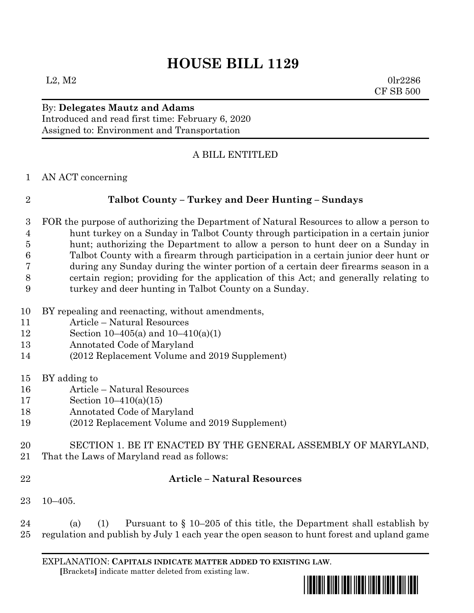# **HOUSE BILL 1129**

 $L2, M2$  0lr2286 CF SB 500

### By: **Delegates Mautz and Adams** Introduced and read first time: February 6, 2020 Assigned to: Environment and Transportation

## A BILL ENTITLED

AN ACT concerning

### **Talbot County – Turkey and Deer Hunting – Sundays**

- FOR the purpose of authorizing the Department of Natural Resources to allow a person to hunt turkey on a Sunday in Talbot County through participation in a certain junior hunt; authorizing the Department to allow a person to hunt deer on a Sunday in Talbot County with a firearm through participation in a certain junior deer hunt or during any Sunday during the winter portion of a certain deer firearms season in a certain region; providing for the application of this Act; and generally relating to turkey and deer hunting in Talbot County on a Sunday.
- BY repealing and reenacting, without amendments,
- Article Natural Resources
- Section 10–405(a) and 10–410(a)(1)
- Annotated Code of Maryland
- (2012 Replacement Volume and 2019 Supplement)
- BY adding to
- Article Natural Resources
- Section 10–410(a)(15)
- Annotated Code of Maryland
- (2012 Replacement Volume and 2019 Supplement)
- SECTION 1. BE IT ENACTED BY THE GENERAL ASSEMBLY OF MARYLAND,
- That the Laws of Maryland read as follows:
- 

### **Article – Natural Resources**

- 10–405.
- (a) (1) Pursuant to § 10–205 of this title, the Department shall establish by regulation and publish by July 1 each year the open season to hunt forest and upland game

EXPLANATION: **CAPITALS INDICATE MATTER ADDED TO EXISTING LAW**.  **[**Brackets**]** indicate matter deleted from existing law.

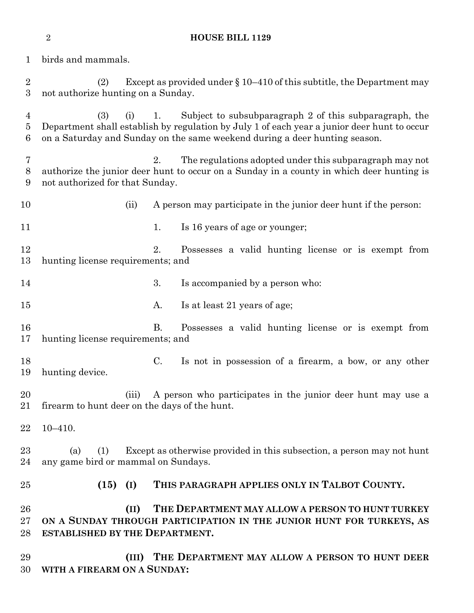birds and mammals. (2) Except as provided under § 10–410 of this subtitle, the Department may not authorize hunting on a Sunday. (3) (i) 1. Subject to subsubparagraph 2 of this subparagraph, the Department shall establish by regulation by July 1 of each year a junior deer hunt to occur on a Saturday and Sunday on the same weekend during a deer hunting season. 2. The regulations adopted under this subparagraph may not authorize the junior deer hunt to occur on a Sunday in a county in which deer hunting is not authorized for that Sunday. 10 (ii) A person may participate in the junior deer hunt if the person: 11 1. Is 16 years of age or younger; 2. Possesses a valid hunting license or is exempt from hunting license requirements; and 3. Is accompanied by a person who: 15 A. Is at least 21 years of age; B. Possesses a valid hunting license or is exempt from hunting license requirements; and C. Is not in possession of a firearm, a bow, or any other hunting device. (iii) A person who participates in the junior deer hunt may use a firearm to hunt deer on the days of the hunt. 10–410. (a) (1) Except as otherwise provided in this subsection, a person may not hunt any game bird or mammal on Sundays. **(15) (I) THIS PARAGRAPH APPLIES ONLY IN TALBOT COUNTY. (II) THE DEPARTMENT MAY ALLOW A PERSON TO HUNT TURKEY ON A SUNDAY THROUGH PARTICIPATION IN THE JUNIOR HUNT FOR TURKEYS, AS ESTABLISHED BY THE DEPARTMENT. (III) THE DEPARTMENT MAY ALLOW A PERSON TO HUNT DEER WITH A FIREARM ON A SUNDAY:**

**HOUSE BILL 1129**